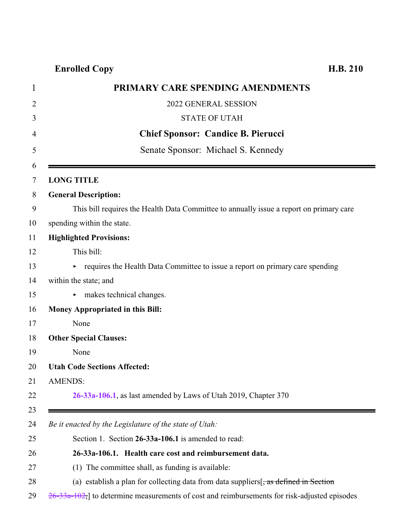## **Enrolled Copy H.B. 210**

| 1           | PRIMARY CARE SPENDING AMENDMENTS                                                                 |
|-------------|--------------------------------------------------------------------------------------------------|
| 2           | 2022 GENERAL SESSION                                                                             |
| 3           | <b>STATE OF UTAH</b>                                                                             |
| 4           | <b>Chief Sponsor: Candice B. Pierucci</b>                                                        |
| 5           | Senate Sponsor: Michael S. Kennedy                                                               |
| 6<br>$\tau$ | <b>LONG TITLE</b>                                                                                |
| 8           | <b>General Description:</b>                                                                      |
| 9           | This bill requires the Health Data Committee to annually issue a report on primary care          |
| 10          | spending within the state.                                                                       |
| 11          | <b>Highlighted Provisions:</b>                                                                   |
| 12          | This bill:                                                                                       |
| 13          | • requires the Health Data Committee to issue a report on primary care spending                  |
| 14          | within the state; and                                                                            |
| 15          | makes technical changes.<br>Þ.                                                                   |
| 16          | <b>Money Appropriated in this Bill:</b>                                                          |
| 17          | None                                                                                             |
| 18          | <b>Other Special Clauses:</b>                                                                    |
| 19          | None                                                                                             |
| 20          | <b>Utah Code Sections Affected:</b>                                                              |
| 21          | <b>AMENDS:</b>                                                                                   |
| 22          | 26-33a-106.1, as last amended by Laws of Utah 2019, Chapter 370                                  |
| 23<br>24    | Be it enacted by the Legislature of the state of Utah:                                           |
| 25          | Section 1. Section 26-33a-106.1 is amended to read:                                              |
| 26          | 26-33a-106.1. Health care cost and reimbursement data.                                           |
| 27          | (1) The committee shall, as funding is available:                                                |
| 28          | (a) establish a plan for collecting data from data suppliers $\frac{1}{2}$ as defined in Section |

<span id="page-0-0"></span> $29 \quad 26 - 33a - 102$ , to determine measurements of cost and reimbursements for risk-adjusted episodes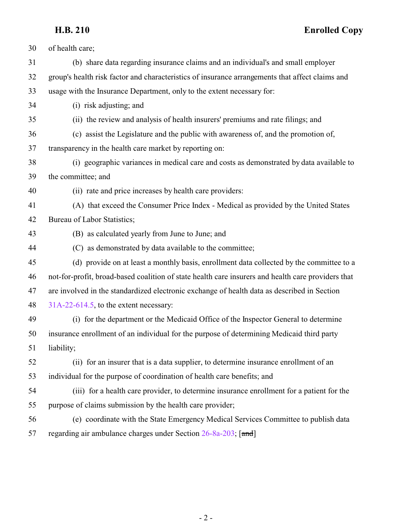**H.B. 210 Enrolled Copy**

| 30 | of health care;                                                                                    |
|----|----------------------------------------------------------------------------------------------------|
| 31 | (b) share data regarding insurance claims and an individual's and small employer                   |
| 32 | group's health risk factor and characteristics of insurance arrangements that affect claims and    |
| 33 | usage with the Insurance Department, only to the extent necessary for:                             |
| 34 | (i) risk adjusting; and                                                                            |
| 35 | (ii) the review and analysis of health insurers' premiums and rate filings; and                    |
| 36 | (c) assist the Legislature and the public with awareness of, and the promotion of,                 |
| 37 | transparency in the health care market by reporting on:                                            |
| 38 | (i) geographic variances in medical care and costs as demonstrated by data available to            |
| 39 | the committee; and                                                                                 |
| 40 | (ii) rate and price increases by health care providers:                                            |
| 41 | (A) that exceed the Consumer Price Index - Medical as provided by the United States                |
| 42 | Bureau of Labor Statistics;                                                                        |
| 43 | (B) as calculated yearly from June to June; and                                                    |
| 44 | (C) as demonstrated by data available to the committee;                                            |
| 45 | (d) provide on at least a monthly basis, enrollment data collected by the committee to a           |
| 46 | not-for-profit, broad-based coalition of state health care insurers and health care providers that |
| 47 | are involved in the standardized electronic exchange of health data as described in Section        |
| 48 | $31A-22-614.5$ , to the extent necessary:                                                          |
| 49 | (i) for the department or the Medicaid Office of the Inspector General to determine                |
| 50 | insurance enrollment of an individual for the purpose of determining Medicaid third party          |
| 51 | liability;                                                                                         |
| 52 | (ii) for an insurer that is a data supplier, to determine insurance enrollment of an               |
| 53 | individual for the purpose of coordination of health care benefits; and                            |
| 54 | (iii) for a health care provider, to determine insurance enrollment for a patient for the          |
| 55 | purpose of claims submission by the health care provider;                                          |
| 56 | (e) coordinate with the State Emergency Medical Services Committee to publish data                 |
| 57 | regarding air ambulance charges under Section 26-8a-203; [and]                                     |